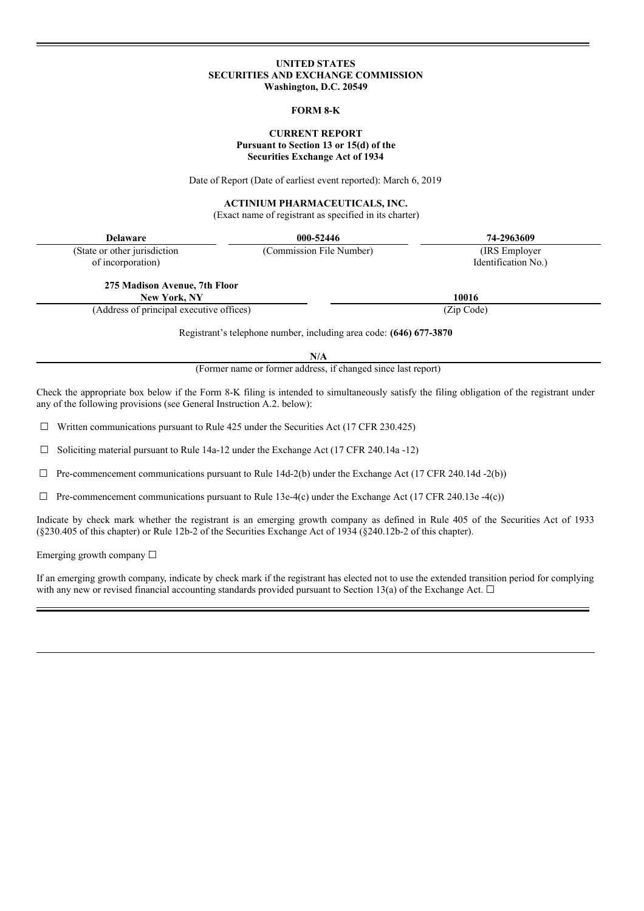# **UNITED STATES SECURITIES AND EXCHANGE COMMISSION Washington, D.C. 20549**

## **FORM 8-K**

# **CURRENT REPORT Pursuant to Section 13 or 15(d) of the Securities Exchange Act of 1934**

Date of Report (Date of earliest event reported): March 6, 2019

# **ACTINIUM PHARMACEUTICALS, INC.**

(Exact name of registrant as specified in its charter)

| <b>Delaware</b>                          | 000-52446                | 74-2963609          |  |
|------------------------------------------|--------------------------|---------------------|--|
| (State or other jurisdiction)            | (Commission File Number) | (IRS Employer)      |  |
| of incorporation)                        |                          | Identification No.) |  |
| 275 Madison Avenue, 7th Floor            |                          |                     |  |
| New York, NY                             |                          | 10016               |  |
| (Address of principal executive offices) |                          | (Zip Code)          |  |

Registrant's telephone number, including area code: **(646) 677-3870**

**N/A**

(Former name or former address, if changed since last report)

Check the appropriate box below if the Form 8-K filing is intended to simultaneously satisfy the filing obligation of the registrant under any of the following provisions (see General Instruction A.2. below):

 $\Box$  Written communications pursuant to Rule 425 under the Securities Act (17 CFR 230.425)

 $\Box$  Soliciting material pursuant to Rule 14a-12 under the Exchange Act (17 CFR 240.14a -12)

 $\Box$  Pre-commencement communications pursuant to Rule 14d-2(b) under the Exchange Act (17 CFR 240.14d -2(b))

 $\Box$  Pre-commencement communications pursuant to Rule 13e-4(c) under the Exchange Act (17 CFR 240.13e -4(c))

Indicate by check mark whether the registrant is an emerging growth company as defined in Rule 405 of the Securities Act of 1933 (§230.405 of this chapter) or Rule 12b-2 of the Securities Exchange Act of 1934 (§240.12b-2 of this chapter).

Emerging growth company  $\Box$ 

If an emerging growth company, indicate by check mark if the registrant has elected not to use the extended transition period for complying with any new or revised financial accounting standards provided pursuant to Section 13(a) of the Exchange Act.  $\Box$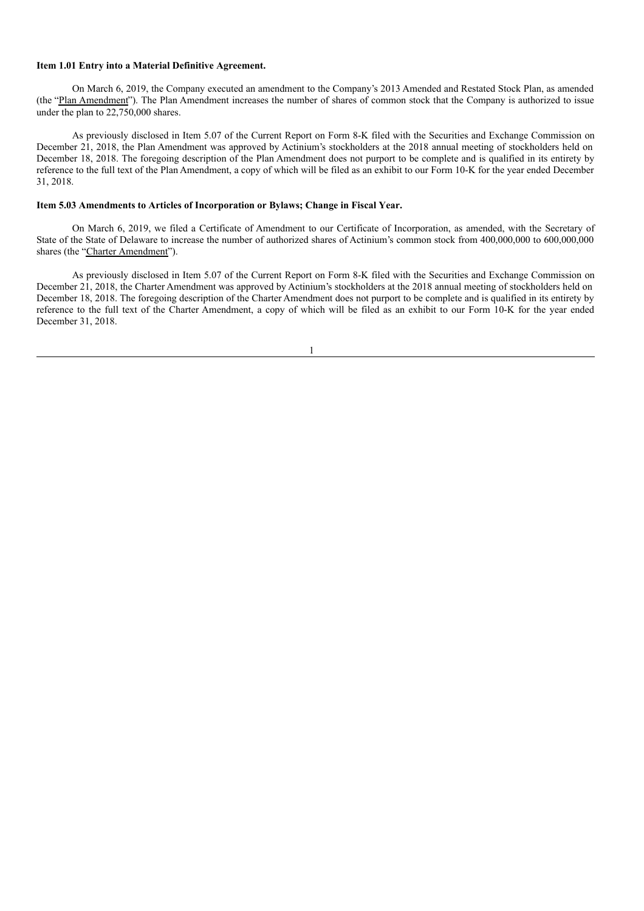#### **Item 1.01 Entry into a Material Definitive Agreement.**

On March 6, 2019, the Company executed an amendment to the Company's 2013 Amended and Restated Stock Plan, as amended (the "Plan Amendment"). The Plan Amendment increases the number of shares of common stock that the Company is authorized to issue under the plan to 22,750,000 shares.

As previously disclosed in Item 5.07 of the Current Report on Form 8-K filed with the Securities and Exchange Commission on December 21, 2018, the Plan Amendment was approved by Actinium's stockholders at the 2018 annual meeting of stockholders held on December 18, 2018. The foregoing description of the Plan Amendment does not purport to be complete and is qualified in its entirety by reference to the full text of the Plan Amendment, a copy of which will be filed as an exhibit to our Form 10-K for the year ended December 31, 2018.

## **Item 5.03 Amendments to Articles of Incorporation or Bylaws; Change in Fiscal Year.**

On March 6, 2019, we filed a Certificate of Amendment to our Certificate of Incorporation, as amended, with the Secretary of State of the State of Delaware to increase the number of authorized shares of Actinium's common stock from 400,000,000 to 600,000,000 shares (the "Charter Amendment").

As previously disclosed in Item 5.07 of the Current Report on Form 8-K filed with the Securities and Exchange Commission on December 21, 2018, the Charter Amendment was approved by Actinium's stockholders at the 2018 annual meeting of stockholders held on December 18, 2018. The foregoing description of the Charter Amendment does not purport to be complete and is qualified in its entirety by reference to the full text of the Charter Amendment, a copy of which will be filed as an exhibit to our Form 10-K for the year ended December 31, 2018.